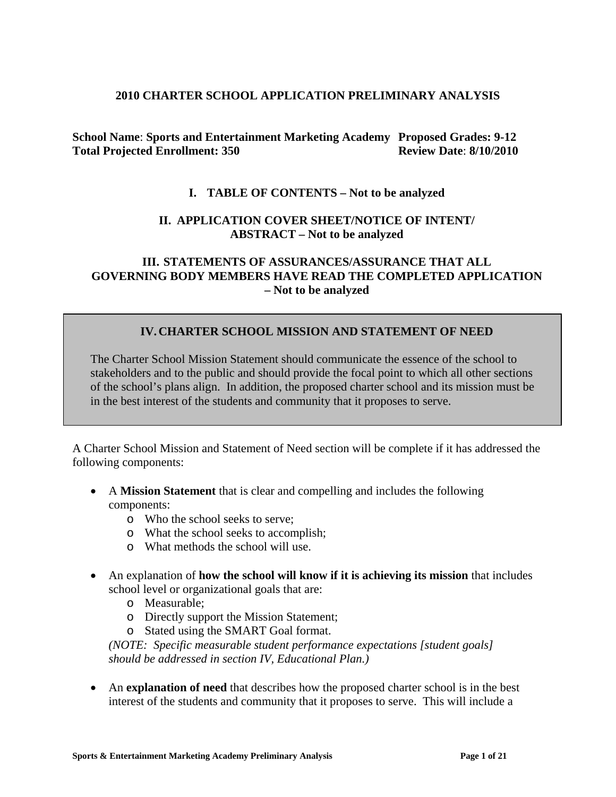#### **2010 CHARTER SCHOOL APPLICATION PRELIMINARY ANALYSIS**

**School Name**: **Sports and Entertainment Marketing Academy Proposed Grades: 9-12 Total Projected Enrollment: 350 Review Date**: **8/10/2010**

#### **I. TABLE OF CONTENTS – Not to be analyzed**

#### **II. APPLICATION COVER SHEET/NOTICE OF INTENT/ ABSTRACT – Not to be analyzed**

#### **III. STATEMENTS OF ASSURANCES/ASSURANCE THAT ALL GOVERNING BODY MEMBERS HAVE READ THE COMPLETED APPLICATION – Not to be analyzed**

#### **IV.CHARTER SCHOOL MISSION AND STATEMENT OF NEED**

The Charter School Mission Statement should communicate the essence of the school to stakeholders and to the public and should provide the focal point to which all other sections of the school's plans align. In addition, the proposed charter school and its mission must be in the best interest of the students and community that it proposes to serve.

A Charter School Mission and Statement of Need section will be complete if it has addressed the following components:

- A **Mission Statement** that is clear and compelling and includes the following components:
	- o Who the school seeks to serve;
	- o What the school seeks to accomplish;
	- o What methods the school will use.
- An explanation of **how the school will know if it is achieving its mission** that includes school level or organizational goals that are:
	- o Measurable;
	- o Directly support the Mission Statement;
	- o Stated using the SMART Goal format.

*(NOTE: Specific measurable student performance expectations [student goals] should be addressed in section IV, Educational Plan.)*

• An **explanation of need** that describes how the proposed charter school is in the best interest of the students and community that it proposes to serve. This will include a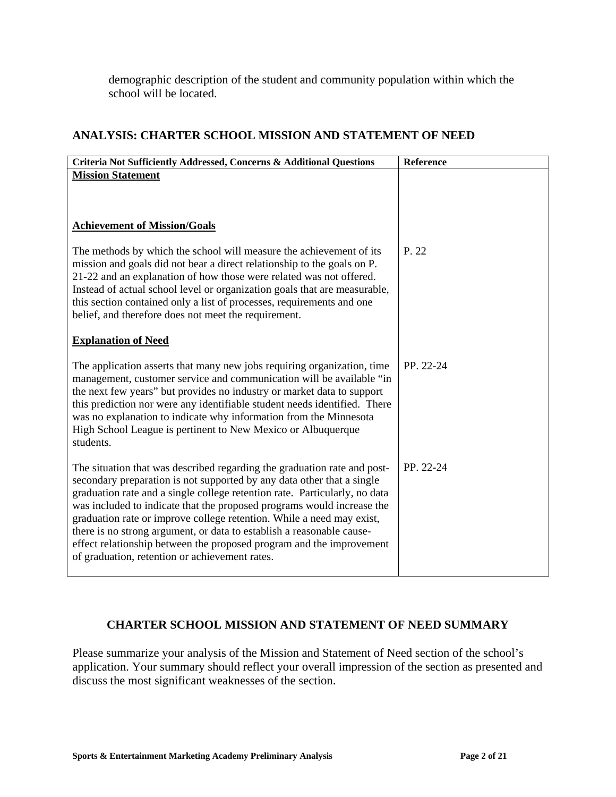demographic description of the student and community population within which the school will be located.

# **ANALYSIS: CHARTER SCHOOL MISSION AND STATEMENT OF NEED**

| Criteria Not Sufficiently Addressed, Concerns & Additional Questions                                                                                                                                                                                                                                                                                                                                                                                                                                                                                                                   | Reference |
|----------------------------------------------------------------------------------------------------------------------------------------------------------------------------------------------------------------------------------------------------------------------------------------------------------------------------------------------------------------------------------------------------------------------------------------------------------------------------------------------------------------------------------------------------------------------------------------|-----------|
| <b>Mission Statement</b>                                                                                                                                                                                                                                                                                                                                                                                                                                                                                                                                                               |           |
| <b>Achievement of Mission/Goals</b>                                                                                                                                                                                                                                                                                                                                                                                                                                                                                                                                                    |           |
| The methods by which the school will measure the achievement of its<br>mission and goals did not bear a direct relationship to the goals on P.<br>21-22 and an explanation of how those were related was not offered.<br>Instead of actual school level or organization goals that are measurable,<br>this section contained only a list of processes, requirements and one<br>belief, and therefore does not meet the requirement.                                                                                                                                                    | P. 22     |
| <b>Explanation of Need</b>                                                                                                                                                                                                                                                                                                                                                                                                                                                                                                                                                             |           |
| The application asserts that many new jobs requiring organization, time<br>management, customer service and communication will be available "in<br>the next few years" but provides no industry or market data to support<br>this prediction nor were any identifiable student needs identified. There<br>was no explanation to indicate why information from the Minnesota<br>High School League is pertinent to New Mexico or Albuquerque<br>students.                                                                                                                               | PP. 22-24 |
| The situation that was described regarding the graduation rate and post-<br>secondary preparation is not supported by any data other that a single<br>graduation rate and a single college retention rate. Particularly, no data<br>was included to indicate that the proposed programs would increase the<br>graduation rate or improve college retention. While a need may exist,<br>there is no strong argument, or data to establish a reasonable cause-<br>effect relationship between the proposed program and the improvement<br>of graduation, retention or achievement rates. | PP. 22-24 |

## **CHARTER SCHOOL MISSION AND STATEMENT OF NEED SUMMARY**

Please summarize your analysis of the Mission and Statement of Need section of the school's application. Your summary should reflect your overall impression of the section as presented and discuss the most significant weaknesses of the section.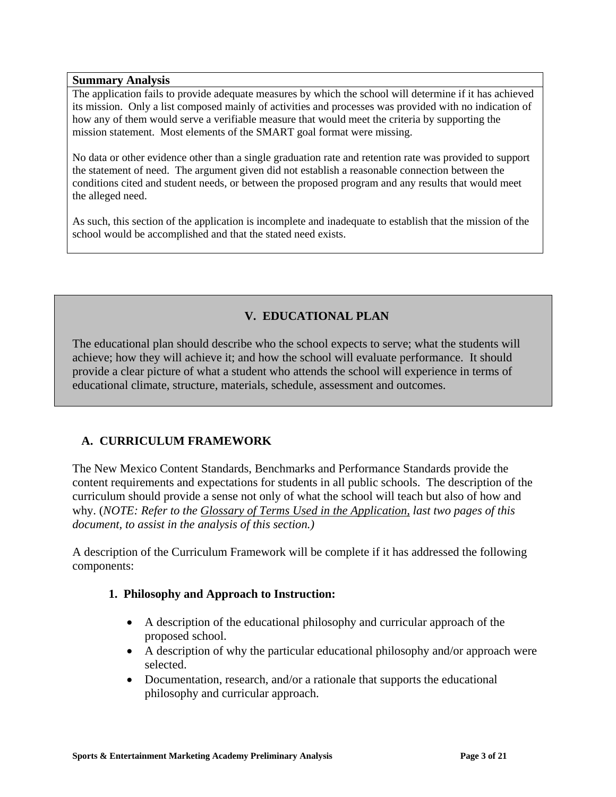#### **Summary Analysis**

The application fails to provide adequate measures by which the school will determine if it has achieved its mission. Only a list composed mainly of activities and processes was provided with no indication of how any of them would serve a verifiable measure that would meet the criteria by supporting the mission statement. Most elements of the SMART goal format were missing.

No data or other evidence other than a single graduation rate and retention rate was provided to support the statement of need. The argument given did not establish a reasonable connection between the conditions cited and student needs, or between the proposed program and any results that would meet the alleged need.

As such, this section of the application is incomplete and inadequate to establish that the mission of the school would be accomplished and that the stated need exists.

# **V. EDUCATIONAL PLAN**

The educational plan should describe who the school expects to serve; what the students will achieve; how they will achieve it; and how the school will evaluate performance. It should provide a clear picture of what a student who attends the school will experience in terms of educational climate, structure, materials, schedule, assessment and outcomes.

## **A. CURRICULUM FRAMEWORK**

The New Mexico Content Standards, Benchmarks and Performance Standards provide the content requirements and expectations for students in all public schools. The description of the curriculum should provide a sense not only of what the school will teach but also of how and why. (*NOTE: Refer to the Glossary of Terms Used in the Application, last two pages of this document, to assist in the analysis of this section.)*

A description of the Curriculum Framework will be complete if it has addressed the following components:

## **1. Philosophy and Approach to Instruction:**

- A description of the educational philosophy and curricular approach of the proposed school.
- A description of why the particular educational philosophy and/or approach were selected.
- Documentation, research, and/or a rationale that supports the educational philosophy and curricular approach.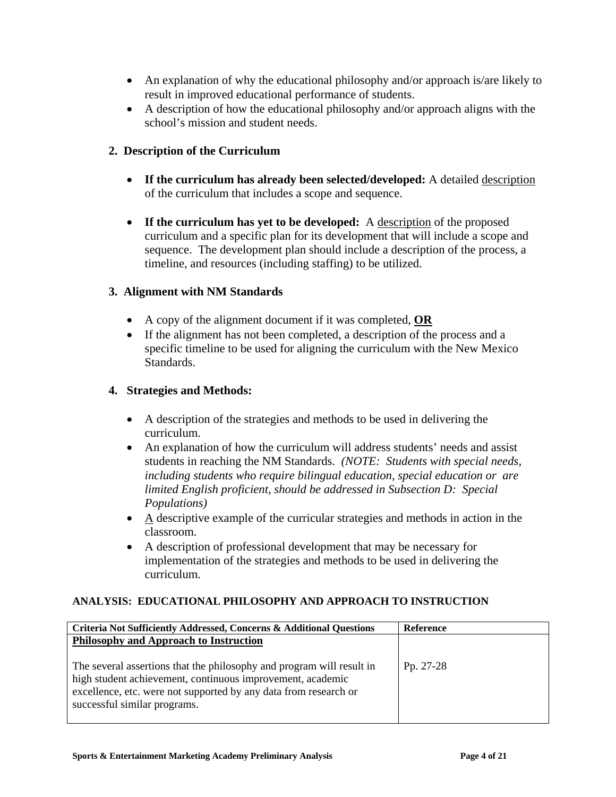- An explanation of why the educational philosophy and/or approach is/are likely to result in improved educational performance of students.
- A description of how the educational philosophy and/or approach aligns with the school's mission and student needs.

#### **2. Description of the Curriculum**

- **If the curriculum has already been selected/developed:** A detailed description of the curriculum that includes a scope and sequence.
- **If the curriculum has yet to be developed:** A description of the proposed curriculum and a specific plan for its development that will include a scope and sequence. The development plan should include a description of the process, a timeline, and resources (including staffing) to be utilized.

#### **3. Alignment with NM Standards**

- A copy of the alignment document if it was completed, **OR**
- If the alignment has not been completed, a description of the process and a specific timeline to be used for aligning the curriculum with the New Mexico Standards.

#### **4. Strategies and Methods:**

- A description of the strategies and methods to be used in delivering the curriculum.
- An explanation of how the curriculum will address students' needs and assist students in reaching the NM Standards. *(NOTE: Students with special needs, including students who require bilingual education, special education or are limited English proficient, should be addressed in Subsection D: Special Populations)*
- A descriptive example of the curricular strategies and methods in action in the classroom.
- A description of professional development that may be necessary for implementation of the strategies and methods to be used in delivering the curriculum.

#### **ANALYSIS: EDUCATIONAL PHILOSOPHY AND APPROACH TO INSTRUCTION**

| Criteria Not Sufficiently Addressed, Concerns & Additional Questions                                                                                                                                                                    | <b>Reference</b> |
|-----------------------------------------------------------------------------------------------------------------------------------------------------------------------------------------------------------------------------------------|------------------|
| Philosophy and Approach to Instruction                                                                                                                                                                                                  |                  |
| The several assertions that the philosophy and program will result in<br>high student achievement, continuous improvement, academic<br>excellence, etc. were not supported by any data from research or<br>successful similar programs. | Pp. 27-28        |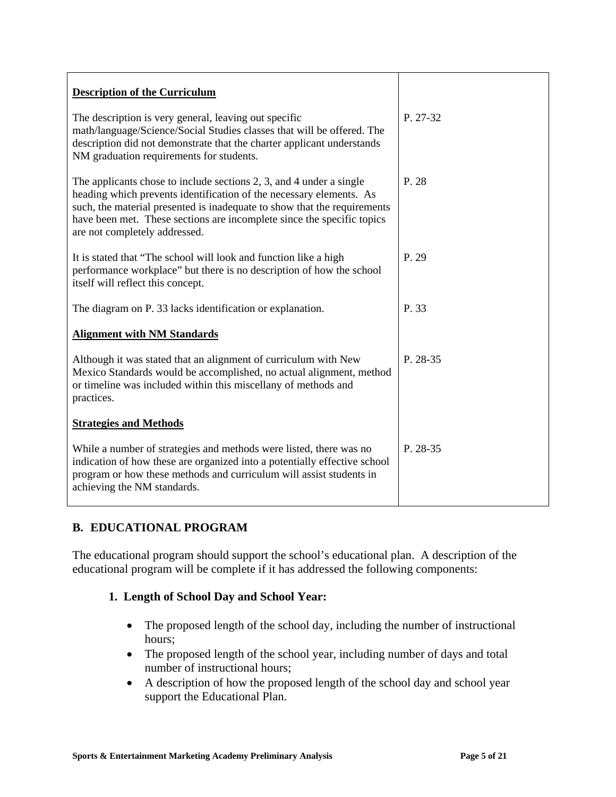| <b>Description of the Curriculum</b>                                                                                                                                                                                                                                                                                              |          |
|-----------------------------------------------------------------------------------------------------------------------------------------------------------------------------------------------------------------------------------------------------------------------------------------------------------------------------------|----------|
| The description is very general, leaving out specific<br>math/language/Science/Social Studies classes that will be offered. The<br>description did not demonstrate that the charter applicant understands<br>NM graduation requirements for students.                                                                             | P. 27-32 |
| The applicants chose to include sections 2, 3, and 4 under a single<br>heading which prevents identification of the necessary elements. As<br>such, the material presented is inadequate to show that the requirements<br>have been met. These sections are incomplete since the specific topics<br>are not completely addressed. | P. 28    |
| It is stated that "The school will look and function like a high<br>performance workplace" but there is no description of how the school<br>itself will reflect this concept.                                                                                                                                                     | P. 29    |
| The diagram on P. 33 lacks identification or explanation.                                                                                                                                                                                                                                                                         | P. 33    |
| <b>Alignment with NM Standards</b>                                                                                                                                                                                                                                                                                                |          |
| Although it was stated that an alignment of curriculum with New<br>Mexico Standards would be accomplished, no actual alignment, method<br>or timeline was included within this miscellany of methods and<br>practices.                                                                                                            | P. 28-35 |
| <b>Strategies and Methods</b>                                                                                                                                                                                                                                                                                                     |          |
| While a number of strategies and methods were listed, there was no<br>indication of how these are organized into a potentially effective school<br>program or how these methods and curriculum will assist students in<br>achieving the NM standards.                                                                             | P. 28-35 |

# **B. EDUCATIONAL PROGRAM**

The educational program should support the school's educational plan. A description of the educational program will be complete if it has addressed the following components:

## **1. Length of School Day and School Year:**

- The proposed length of the school day, including the number of instructional hours;
- The proposed length of the school year, including number of days and total number of instructional hours;
- A description of how the proposed length of the school day and school year support the Educational Plan.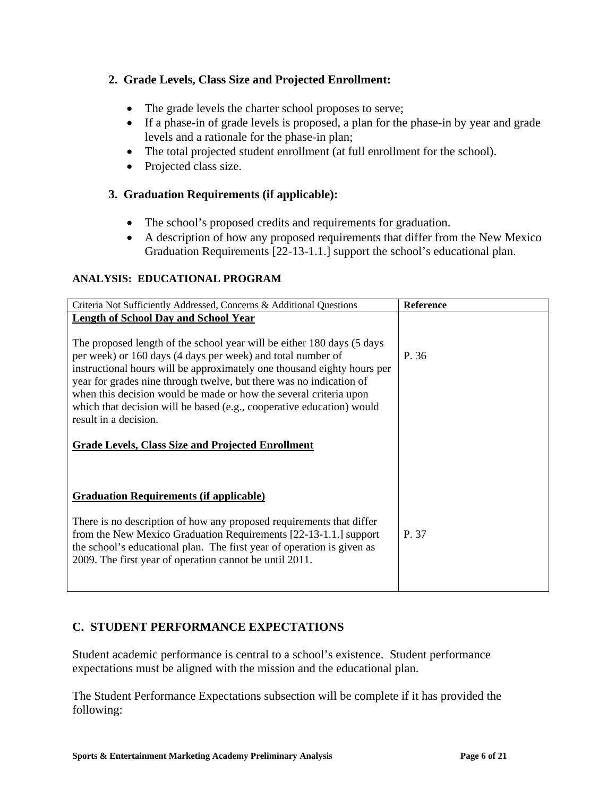# **2. Grade Levels, Class Size and Projected Enrollment:**

- The grade levels the charter school proposes to serve;
- If a phase-in of grade levels is proposed, a plan for the phase-in by year and grade levels and a rationale for the phase-in plan;
- The total projected student enrollment (at full enrollment for the school).
- Projected class size.

## **3. Graduation Requirements (if applicable):**

- The school's proposed credits and requirements for graduation.
- A description of how any proposed requirements that differ from the New Mexico Graduation Requirements [22-13-1.1.] support the school's educational plan.

#### **ANALYSIS: EDUCATIONAL PROGRAM**

| Criteria Not Sufficiently Addressed, Concerns & Additional Questions    | <b>Reference</b> |
|-------------------------------------------------------------------------|------------------|
| <b>Length of School Day and School Year</b>                             |                  |
|                                                                         |                  |
| The proposed length of the school year will be either 180 days (5 days) |                  |
| per week) or 160 days (4 days per week) and total number of             | P. 36            |
| instructional hours will be approximately one thousand eighty hours per |                  |
| year for grades nine through twelve, but there was no indication of     |                  |
| when this decision would be made or how the several criteria upon       |                  |
| which that decision will be based (e.g., cooperative education) would   |                  |
| result in a decision.                                                   |                  |
| <b>Grade Levels, Class Size and Projected Enrollment</b>                |                  |
|                                                                         |                  |
| <b>Graduation Requirements (if applicable)</b>                          |                  |
| There is no description of how any proposed requirements that differ    |                  |
| from the New Mexico Graduation Requirements [22-13-1.1.] support        | P. 37            |
| the school's educational plan. The first year of operation is given as  |                  |
| 2009. The first year of operation cannot be until 2011.                 |                  |
|                                                                         |                  |

## **C. STUDENT PERFORMANCE EXPECTATIONS**

Student academic performance is central to a school's existence. Student performance expectations must be aligned with the mission and the educational plan.

The Student Performance Expectations subsection will be complete if it has provided the following: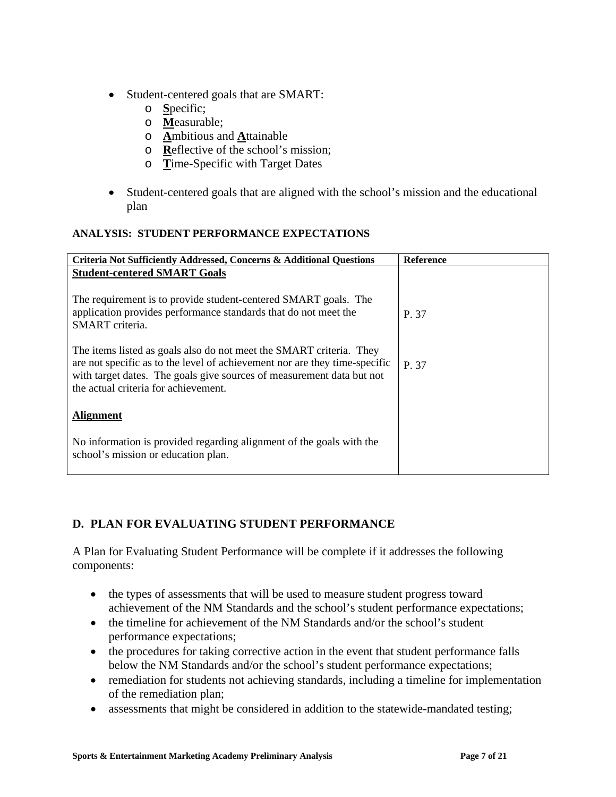- Student-centered goals that are SMART:
	- o **S**pecific;
	- o **M**easurable;
	- o **A**mbitious and **A**ttainable
	- o **R**eflective of the school's mission;
	- o **T**ime-Specific with Target Dates
- Student-centered goals that are aligned with the school's mission and the educational plan

## **ANALYSIS: STUDENT PERFORMANCE EXPECTATIONS**

| Criteria Not Sufficiently Addressed, Concerns & Additional Questions                                                                                                                                                                                               | <b>Reference</b> |
|--------------------------------------------------------------------------------------------------------------------------------------------------------------------------------------------------------------------------------------------------------------------|------------------|
| <b>Student-centered SMART Goals</b>                                                                                                                                                                                                                                |                  |
|                                                                                                                                                                                                                                                                    |                  |
| The requirement is to provide student-centered SMART goals. The<br>application provides performance standards that do not meet the<br>SMART criteria.                                                                                                              | P. 37            |
| The items listed as goals also do not meet the SMART criteria. They<br>are not specific as to the level of achievement nor are they time-specific<br>with target dates. The goals give sources of measurement data but not<br>the actual criteria for achievement. | P. 37            |
| <b>Alignment</b>                                                                                                                                                                                                                                                   |                  |
| No information is provided regarding alignment of the goals with the<br>school's mission or education plan.                                                                                                                                                        |                  |

# **D. PLAN FOR EVALUATING STUDENT PERFORMANCE**

A Plan for Evaluating Student Performance will be complete if it addresses the following components:

- the types of assessments that will be used to measure student progress toward achievement of the NM Standards and the school's student performance expectations;
- the timeline for achievement of the NM Standards and/or the school's student performance expectations;
- the procedures for taking corrective action in the event that student performance falls below the NM Standards and/or the school's student performance expectations;
- remediation for students not achieving standards, including a timeline for implementation of the remediation plan;
- assessments that might be considered in addition to the statewide-mandated testing;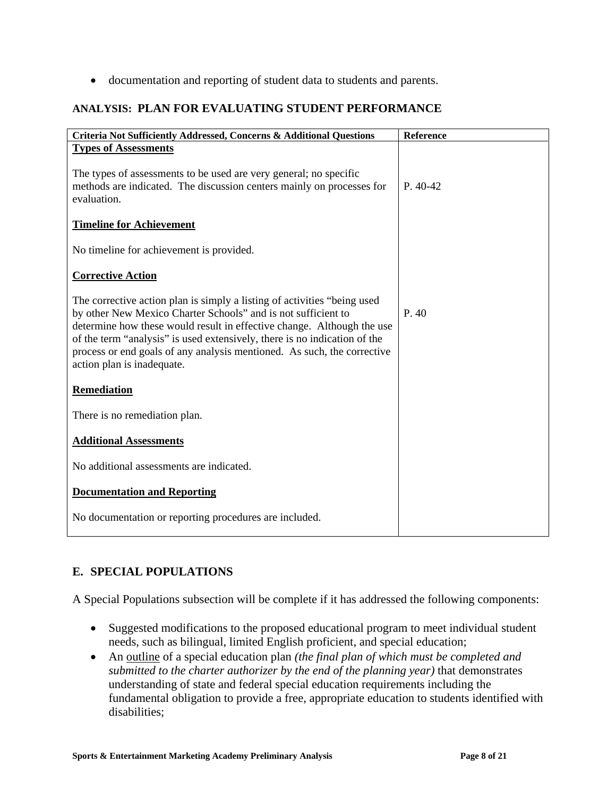• documentation and reporting of student data to students and parents.

# **ANALYSIS: PLAN FOR EVALUATING STUDENT PERFORMANCE**

| Criteria Not Sufficiently Addressed, Concerns & Additional Questions                                                                                                                                                                                                                                                                                                                                      | Reference |
|-----------------------------------------------------------------------------------------------------------------------------------------------------------------------------------------------------------------------------------------------------------------------------------------------------------------------------------------------------------------------------------------------------------|-----------|
| <b>Types of Assessments</b>                                                                                                                                                                                                                                                                                                                                                                               |           |
| The types of assessments to be used are very general; no specific<br>methods are indicated. The discussion centers mainly on processes for<br>evaluation.                                                                                                                                                                                                                                                 | $P.40-42$ |
| <b>Timeline for Achievement</b>                                                                                                                                                                                                                                                                                                                                                                           |           |
| No timeline for achievement is provided.                                                                                                                                                                                                                                                                                                                                                                  |           |
| <b>Corrective Action</b>                                                                                                                                                                                                                                                                                                                                                                                  |           |
| The corrective action plan is simply a listing of activities "being used<br>by other New Mexico Charter Schools" and is not sufficient to<br>determine how these would result in effective change. Although the use<br>of the term "analysis" is used extensively, there is no indication of the<br>process or end goals of any analysis mentioned. As such, the corrective<br>action plan is inadequate. | P.40      |
| <b>Remediation</b>                                                                                                                                                                                                                                                                                                                                                                                        |           |
| There is no remediation plan.                                                                                                                                                                                                                                                                                                                                                                             |           |
| <b>Additional Assessments</b>                                                                                                                                                                                                                                                                                                                                                                             |           |
| No additional assessments are indicated.                                                                                                                                                                                                                                                                                                                                                                  |           |
| <b>Documentation and Reporting</b>                                                                                                                                                                                                                                                                                                                                                                        |           |
| No documentation or reporting procedures are included.                                                                                                                                                                                                                                                                                                                                                    |           |

# **E. SPECIAL POPULATIONS**

A Special Populations subsection will be complete if it has addressed the following components:

- Suggested modifications to the proposed educational program to meet individual student needs, such as bilingual, limited English proficient, and special education;
- An outline of a special education plan *(the final plan of which must be completed and submitted to the charter authorizer by the end of the planning year)* that demonstrates understanding of state and federal special education requirements including the fundamental obligation to provide a free, appropriate education to students identified with disabilities;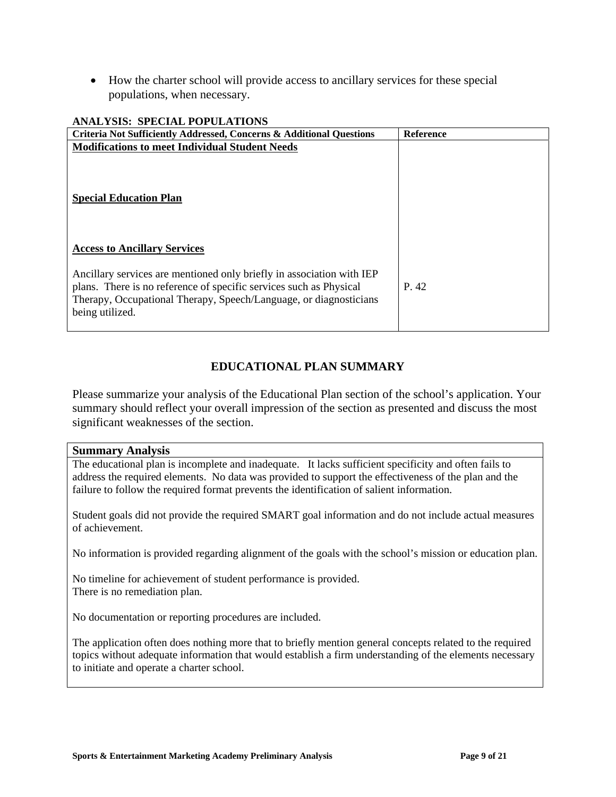• How the charter school will provide access to ancillary services for these special populations, when necessary.

| ANAL I SIS: SPECIAL POPULATIONS                                                                                                                                                                                                     |                  |
|-------------------------------------------------------------------------------------------------------------------------------------------------------------------------------------------------------------------------------------|------------------|
| Criteria Not Sufficiently Addressed, Concerns & Additional Questions                                                                                                                                                                | <b>Reference</b> |
| <b>Modifications to meet Individual Student Needs</b>                                                                                                                                                                               |                  |
| <b>Special Education Plan</b>                                                                                                                                                                                                       |                  |
| <b>Access to Ancillary Services</b>                                                                                                                                                                                                 |                  |
| Ancillary services are mentioned only briefly in association with IEP<br>plans. There is no reference of specific services such as Physical<br>Therapy, Occupational Therapy, Speech/Language, or diagnosticians<br>being utilized. | P. 42            |

#### **ANALYSIS: SPECIAL POPULATIONS**

# **EDUCATIONAL PLAN SUMMARY**

Please summarize your analysis of the Educational Plan section of the school's application. Your summary should reflect your overall impression of the section as presented and discuss the most significant weaknesses of the section.

#### **Summary Analysis**

The educational plan is incomplete and inadequate. It lacks sufficient specificity and often fails to address the required elements. No data was provided to support the effectiveness of the plan and the failure to follow the required format prevents the identification of salient information.

Student goals did not provide the required SMART goal information and do not include actual measures of achievement.

No information is provided regarding alignment of the goals with the school's mission or education plan.

No timeline for achievement of student performance is provided. There is no remediation plan.

No documentation or reporting procedures are included.

The application often does nothing more that to briefly mention general concepts related to the required topics without adequate information that would establish a firm understanding of the elements necessary to initiate and operate a charter school.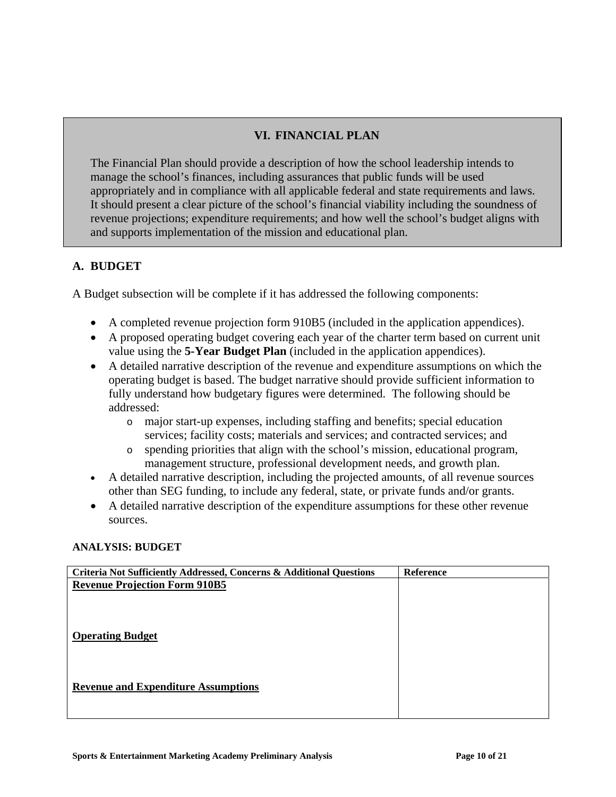# **VI. FINANCIAL PLAN**

The Financial Plan should provide a description of how the school leadership intends to manage the school's finances, including assurances that public funds will be used appropriately and in compliance with all applicable federal and state requirements and laws. It should present a clear picture of the school's financial viability including the soundness of revenue projections; expenditure requirements; and how well the school's budget aligns with and supports implementation of the mission and educational plan.

# **A. BUDGET**

A Budget subsection will be complete if it has addressed the following components:

- A completed revenue projection form 910B5 (included in the application appendices).
- A proposed operating budget covering each year of the charter term based on current unit value using the **5-Year Budget Plan** (included in the application appendices).
- A detailed narrative description of the revenue and expenditure assumptions on which the operating budget is based. The budget narrative should provide sufficient information to fully understand how budgetary figures were determined. The following should be addressed:
	- o major start-up expenses, including staffing and benefits; special education services; facility costs; materials and services; and contracted services; and
	- o spending priorities that align with the school's mission, educational program, management structure, professional development needs, and growth plan.
- A detailed narrative description, including the projected amounts, of all revenue sources other than SEG funding, to include any federal, state, or private funds and/or grants.
- A detailed narrative description of the expenditure assumptions for these other revenue sources.

#### **ANALYSIS: BUDGET**

| Criteria Not Sufficiently Addressed, Concerns & Additional Questions | <b>Reference</b> |
|----------------------------------------------------------------------|------------------|
| <b>Revenue Projection Form 910B5</b>                                 |                  |
|                                                                      |                  |
|                                                                      |                  |
|                                                                      |                  |
| <b>Operating Budget</b>                                              |                  |
|                                                                      |                  |
|                                                                      |                  |
|                                                                      |                  |
| <b>Revenue and Expenditure Assumptions</b>                           |                  |
|                                                                      |                  |
|                                                                      |                  |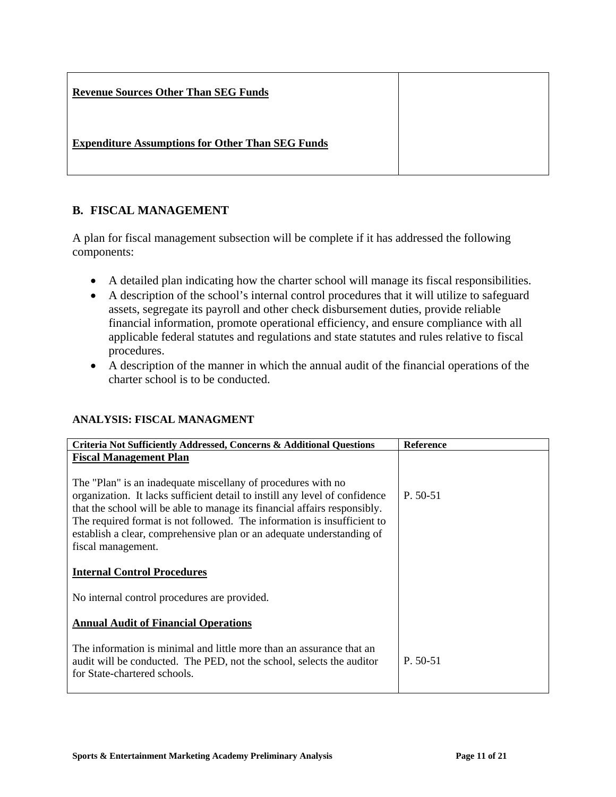| <b>Revenue Sources Other Than SEG Funds</b>             |  |
|---------------------------------------------------------|--|
| <b>Expenditure Assumptions for Other Than SEG Funds</b> |  |

# **B. FISCAL MANAGEMENT**

A plan for fiscal management subsection will be complete if it has addressed the following components:

- A detailed plan indicating how the charter school will manage its fiscal responsibilities.
- A description of the school's internal control procedures that it will utilize to safeguard assets, segregate its payroll and other check disbursement duties, provide reliable financial information, promote operational efficiency, and ensure compliance with all applicable federal statutes and regulations and state statutes and rules relative to fiscal procedures.
- A description of the manner in which the annual audit of the financial operations of the charter school is to be conducted.

#### **ANALYSIS: FISCAL MANAGMENT**

| Criteria Not Sufficiently Addressed, Concerns & Additional Questions        | <b>Reference</b> |
|-----------------------------------------------------------------------------|------------------|
| <b>Fiscal Management Plan</b>                                               |                  |
|                                                                             |                  |
| The "Plan" is an inadequate miscellany of procedures with no                |                  |
| organization. It lacks sufficient detail to instill any level of confidence | $P. 50-51$       |
| that the school will be able to manage its financial affairs responsibly.   |                  |
| The required format is not followed. The information is insufficient to     |                  |
| establish a clear, comprehensive plan or an adequate understanding of       |                  |
| fiscal management.                                                          |                  |
|                                                                             |                  |
| <b>Internal Control Procedures</b>                                          |                  |
| No internal control procedures are provided.                                |                  |
|                                                                             |                  |
| <b>Annual Audit of Financial Operations</b>                                 |                  |
|                                                                             |                  |
| The information is minimal and little more than an assurance that an        |                  |
| audit will be conducted. The PED, not the school, selects the auditor       | $P. 50-51$       |
| for State-chartered schools.                                                |                  |
|                                                                             |                  |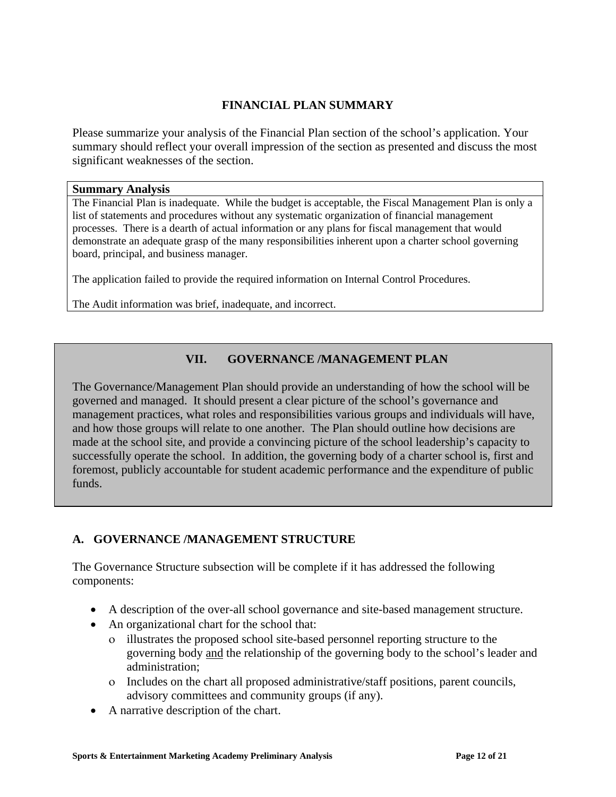## **FINANCIAL PLAN SUMMARY**

Please summarize your analysis of the Financial Plan section of the school's application. Your summary should reflect your overall impression of the section as presented and discuss the most significant weaknesses of the section.

#### **Summary Analysis**

The Financial Plan is inadequate. While the budget is acceptable, the Fiscal Management Plan is only a list of statements and procedures without any systematic organization of financial management processes. There is a dearth of actual information or any plans for fiscal management that would demonstrate an adequate grasp of the many responsibilities inherent upon a charter school governing board, principal, and business manager.

The application failed to provide the required information on Internal Control Procedures.

The Audit information was brief, inadequate, and incorrect.

## **VII. GOVERNANCE /MANAGEMENT PLAN**

The Governance/Management Plan should provide an understanding of how the school will be governed and managed. It should present a clear picture of the school's governance and management practices, what roles and responsibilities various groups and individuals will have, and how those groups will relate to one another. The Plan should outline how decisions are made at the school site, and provide a convincing picture of the school leadership's capacity to successfully operate the school. In addition, the governing body of a charter school is, first and foremost, publicly accountable for student academic performance and the expenditure of public funds.

## **A. GOVERNANCE /MANAGEMENT STRUCTURE**

The Governance Structure subsection will be complete if it has addressed the following components:

- A description of the over-all school governance and site-based management structure.
- An organizational chart for the school that:
	- ο illustrates the proposed school site-based personnel reporting structure to the governing body and the relationship of the governing body to the school's leader and administration;
	- ο Includes on the chart all proposed administrative/staff positions, parent councils, advisory committees and community groups (if any).
- A narrative description of the chart.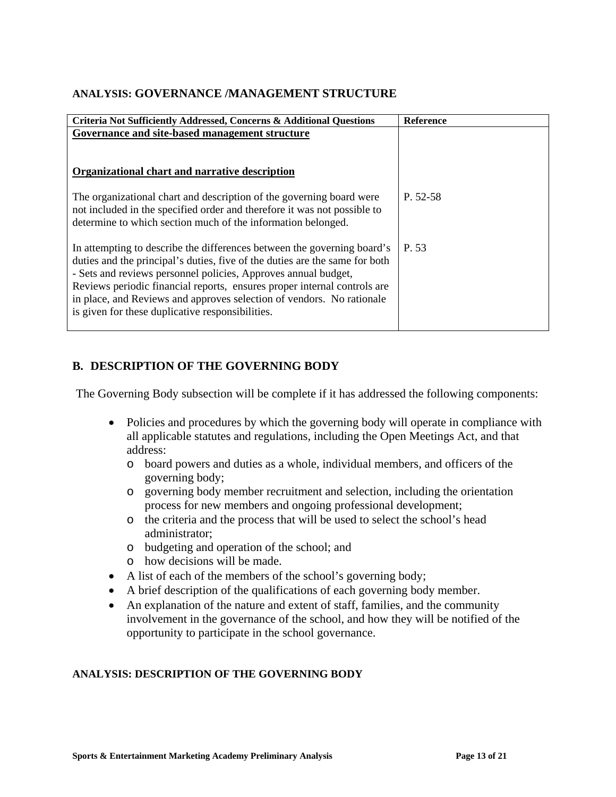## **ANALYSIS: GOVERNANCE /MANAGEMENT STRUCTURE**

| Criteria Not Sufficiently Addressed, Concerns & Additional Questions                                                                                                                                                                                                                                                                                                                                                              | <b>Reference</b> |
|-----------------------------------------------------------------------------------------------------------------------------------------------------------------------------------------------------------------------------------------------------------------------------------------------------------------------------------------------------------------------------------------------------------------------------------|------------------|
| Governance and site-based management structure                                                                                                                                                                                                                                                                                                                                                                                    |                  |
|                                                                                                                                                                                                                                                                                                                                                                                                                                   |                  |
|                                                                                                                                                                                                                                                                                                                                                                                                                                   |                  |
| Organizational chart and narrative description                                                                                                                                                                                                                                                                                                                                                                                    |                  |
|                                                                                                                                                                                                                                                                                                                                                                                                                                   |                  |
| The organizational chart and description of the governing board were<br>not included in the specified order and therefore it was not possible to<br>determine to which section much of the information belonged.                                                                                                                                                                                                                  | P. 52-58         |
| In attempting to describe the differences between the governing board's<br>duties and the principal's duties, five of the duties are the same for both<br>- Sets and reviews personnel policies, Approves annual budget,<br>Reviews periodic financial reports, ensures proper internal controls are<br>in place, and Reviews and approves selection of vendors. No rationale<br>is given for these duplicative responsibilities. | P. 53            |

# **B. DESCRIPTION OF THE GOVERNING BODY**

The Governing Body subsection will be complete if it has addressed the following components:

- Policies and procedures by which the governing body will operate in compliance with all applicable statutes and regulations, including the Open Meetings Act, and that address:
	- o board powers and duties as a whole, individual members, and officers of the governing body;
	- o governing body member recruitment and selection, including the orientation process for new members and ongoing professional development;
	- o the criteria and the process that will be used to select the school's head administrator;
	- o budgeting and operation of the school; and
	- o how decisions will be made.
- A list of each of the members of the school's governing body;
- A brief description of the qualifications of each governing body member.
- An explanation of the nature and extent of staff, families, and the community involvement in the governance of the school, and how they will be notified of the opportunity to participate in the school governance.

#### **ANALYSIS: DESCRIPTION OF THE GOVERNING BODY**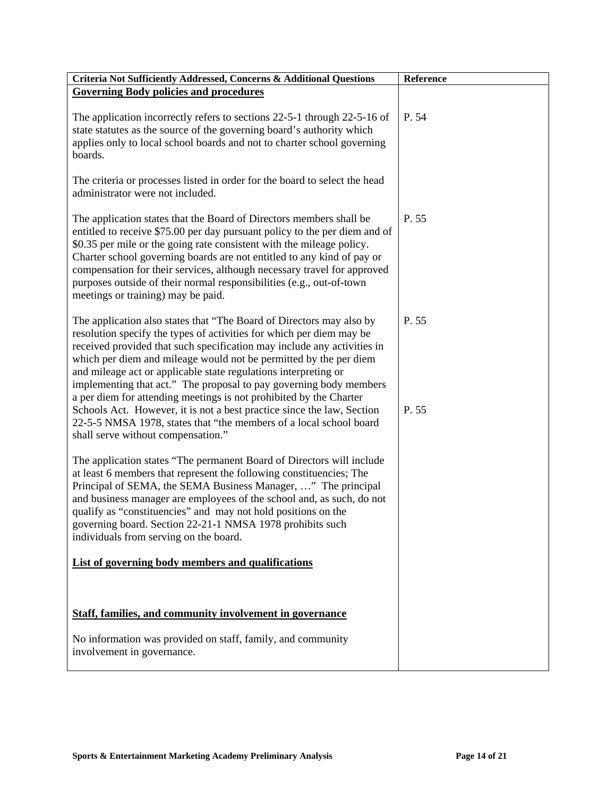| Criteria Not Sufficiently Addressed, Concerns & Additional Questions                                                                                                                                                                                                                                                                                                                                                                                                                                                                                                                                                                                        | Reference      |
|-------------------------------------------------------------------------------------------------------------------------------------------------------------------------------------------------------------------------------------------------------------------------------------------------------------------------------------------------------------------------------------------------------------------------------------------------------------------------------------------------------------------------------------------------------------------------------------------------------------------------------------------------------------|----------------|
| <b>Governing Body policies and procedures</b>                                                                                                                                                                                                                                                                                                                                                                                                                                                                                                                                                                                                               |                |
| The application incorrectly refers to sections 22-5-1 through 22-5-16 of<br>state statutes as the source of the governing board's authority which<br>applies only to local school boards and not to charter school governing<br>boards.                                                                                                                                                                                                                                                                                                                                                                                                                     | P. 54          |
| The criteria or processes listed in order for the board to select the head<br>administrator were not included.                                                                                                                                                                                                                                                                                                                                                                                                                                                                                                                                              |                |
| The application states that the Board of Directors members shall be<br>entitled to receive \$75.00 per day pursuant policy to the per diem and of<br>\$0.35 per mile or the going rate consistent with the mileage policy.<br>Charter school governing boards are not entitled to any kind of pay or<br>compensation for their services, although necessary travel for approved<br>purposes outside of their normal responsibilities (e.g., out-of-town<br>meetings or training) may be paid.                                                                                                                                                               | P. 55          |
| The application also states that "The Board of Directors may also by<br>resolution specify the types of activities for which per diem may be<br>received provided that such specification may include any activities in<br>which per diem and mileage would not be permitted by the per diem<br>and mileage act or applicable state regulations interpreting or<br>implementing that act." The proposal to pay governing body members<br>a per diem for attending meetings is not prohibited by the Charter<br>Schools Act. However, it is not a best practice since the law, Section<br>22-5-5 NMSA 1978, states that "the members of a local school board | P. 55<br>P. 55 |
| shall serve without compensation."<br>The application states "The permanent Board of Directors will include<br>at least 6 members that represent the following constituencies; The<br>Principal of SEMA, the SEMA Business Manager, " The principal<br>and business manager are employees of the school and, as such, do not<br>qualify as "constituencies" and may not hold positions on the<br>governing board. Section 22-21-1 NMSA 1978 prohibits such<br>individuals from serving on the board.                                                                                                                                                        |                |
| List of governing body members and qualifications                                                                                                                                                                                                                                                                                                                                                                                                                                                                                                                                                                                                           |                |
|                                                                                                                                                                                                                                                                                                                                                                                                                                                                                                                                                                                                                                                             |                |
| <b>Staff, families, and community involvement in governance</b>                                                                                                                                                                                                                                                                                                                                                                                                                                                                                                                                                                                             |                |
| No information was provided on staff, family, and community<br>involvement in governance.                                                                                                                                                                                                                                                                                                                                                                                                                                                                                                                                                                   |                |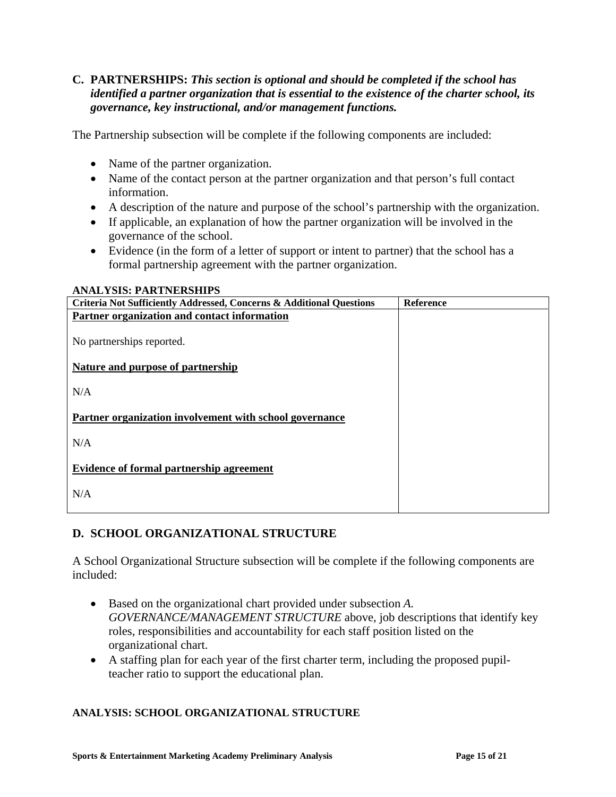#### **C. PARTNERSHIPS:** *This section is optional and should be completed if the school has identified a partner organization that is essential to the existence of the charter school, its governance, key instructional, and/or management functions.*

The Partnership subsection will be complete if the following components are included:

- Name of the partner organization.
- Name of the contact person at the partner organization and that person's full contact information.
- A description of the nature and purpose of the school's partnership with the organization.
- If applicable, an explanation of how the partner organization will be involved in the governance of the school.
- Evidence (in the form of a letter of support or intent to partner) that the school has a formal partnership agreement with the partner organization.

#### **ANALYSIS: PARTNERSHIPS**

| Criteria Not Sufficiently Addressed, Concerns & Additional Questions | <b>Reference</b> |
|----------------------------------------------------------------------|------------------|
| Partner organization and contact information                         |                  |
|                                                                      |                  |
| No partnerships reported.                                            |                  |
|                                                                      |                  |
| Nature and purpose of partnership                                    |                  |
|                                                                      |                  |
| N/A                                                                  |                  |
|                                                                      |                  |
| Partner organization involvement with school governance              |                  |
|                                                                      |                  |
| N/A                                                                  |                  |
|                                                                      |                  |
| <b>Evidence of formal partnership agreement</b>                      |                  |
|                                                                      |                  |
| N/A                                                                  |                  |
|                                                                      |                  |
|                                                                      |                  |

## **D. SCHOOL ORGANIZATIONAL STRUCTURE**

A School Organizational Structure subsection will be complete if the following components are included:

- Based on the organizational chart provided under subsection *A. GOVERNANCE/MANAGEMENT STRUCTURE* above, job descriptions that identify key roles, responsibilities and accountability for each staff position listed on the organizational chart.
- A staffing plan for each year of the first charter term, including the proposed pupilteacher ratio to support the educational plan.

#### **ANALYSIS: SCHOOL ORGANIZATIONAL STRUCTURE**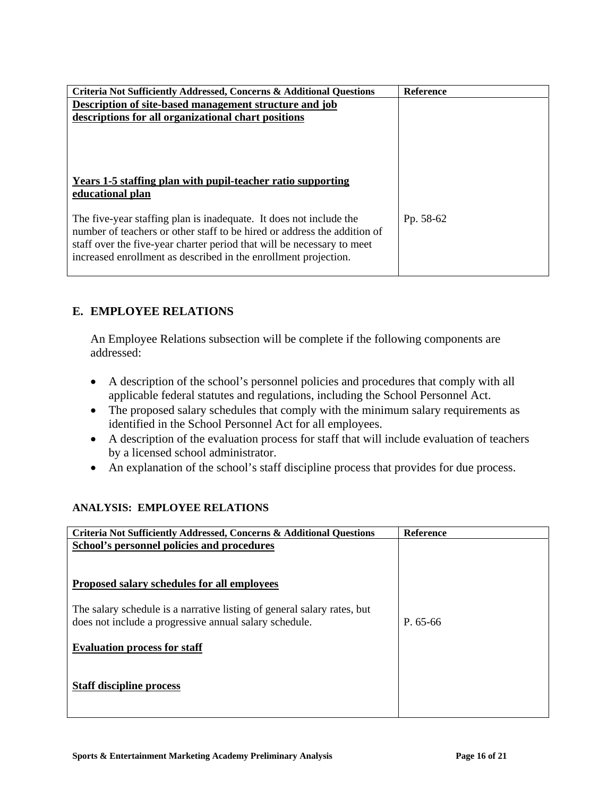| <b>Criteria Not Sufficiently Addressed, Concerns &amp; Additional Questions</b> | <b>Reference</b> |
|---------------------------------------------------------------------------------|------------------|
| Description of site-based management structure and job                          |                  |
| descriptions for all organizational chart positions                             |                  |
|                                                                                 |                  |
|                                                                                 |                  |
|                                                                                 |                  |
|                                                                                 |                  |
|                                                                                 |                  |
| Years 1-5 staffing plan with pupil-teacher ratio supporting                     |                  |
| educational plan                                                                |                  |
|                                                                                 |                  |
|                                                                                 |                  |
| The five-year staffing plan is inadequate. It does not include the              | Pp. 58-62        |
| number of teachers or other staff to be hired or address the addition of        |                  |
| staff over the five-year charter period that will be necessary to meet          |                  |
| increased enrollment as described in the enrollment projection.                 |                  |
|                                                                                 |                  |
|                                                                                 |                  |

# **E. EMPLOYEE RELATIONS**

An Employee Relations subsection will be complete if the following components are addressed:

- A description of the school's personnel policies and procedures that comply with all applicable federal statutes and regulations, including the School Personnel Act.
- The proposed salary schedules that comply with the minimum salary requirements as identified in the School Personnel Act for all employees.
- A description of the evaluation process for staff that will include evaluation of teachers by a licensed school administrator.
- An explanation of the school's staff discipline process that provides for due process.

#### **ANALYSIS: EMPLOYEE RELATIONS**

| <b>Criteria Not Sufficiently Addressed, Concerns &amp; Additional Questions</b> | Reference |
|---------------------------------------------------------------------------------|-----------|
| School's personnel policies and procedures                                      |           |
|                                                                                 |           |
|                                                                                 |           |
| Proposed salary schedules for all employees                                     |           |
|                                                                                 |           |
| The salary schedule is a narrative listing of general salary rates, but         |           |
| does not include a progressive annual salary schedule.                          | P. 65-66  |
|                                                                                 |           |
| <b>Evaluation process for staff</b>                                             |           |
|                                                                                 |           |
|                                                                                 |           |
| <b>Staff discipline process</b>                                                 |           |
|                                                                                 |           |
|                                                                                 |           |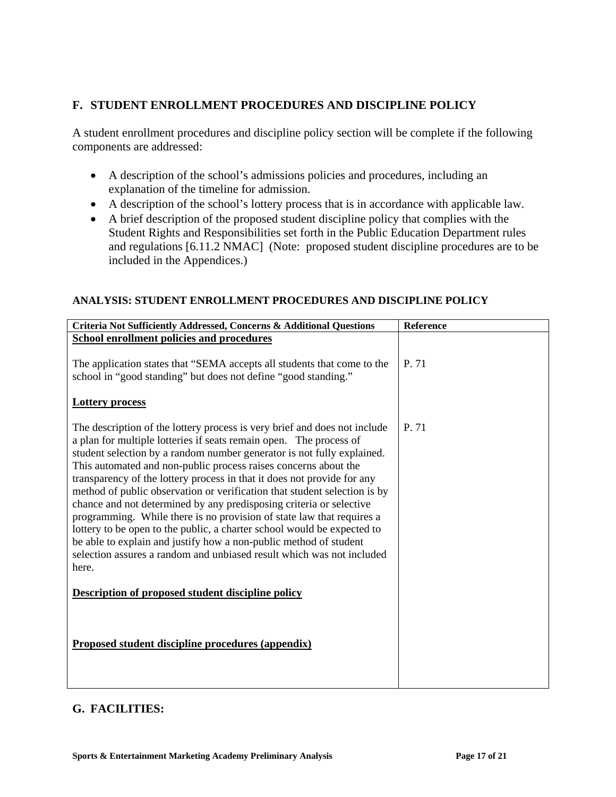## **F. STUDENT ENROLLMENT PROCEDURES AND DISCIPLINE POLICY**

A student enrollment procedures and discipline policy section will be complete if the following components are addressed:

- A description of the school's admissions policies and procedures, including an explanation of the timeline for admission.
- A description of the school's lottery process that is in accordance with applicable law.
- A brief description of the proposed student discipline policy that complies with the Student Rights and Responsibilities set forth in the Public Education Department rules and regulations [6.11.2 NMAC] (Note: proposed student discipline procedures are to be included in the Appendices.)

# **ANALYSIS: STUDENT ENROLLMENT PROCEDURES AND DISCIPLINE POLICY**

| Criteria Not Sufficiently Addressed, Concerns & Additional Questions                                                                                                                                                                                                                                                                                                                                                                                                                                                                                                                                                                                                                                                                                                                                                                   | <b>Reference</b> |
|----------------------------------------------------------------------------------------------------------------------------------------------------------------------------------------------------------------------------------------------------------------------------------------------------------------------------------------------------------------------------------------------------------------------------------------------------------------------------------------------------------------------------------------------------------------------------------------------------------------------------------------------------------------------------------------------------------------------------------------------------------------------------------------------------------------------------------------|------------------|
| <b>School enrollment policies and procedures</b>                                                                                                                                                                                                                                                                                                                                                                                                                                                                                                                                                                                                                                                                                                                                                                                       |                  |
| The application states that "SEMA accepts all students that come to the<br>school in "good standing" but does not define "good standing."                                                                                                                                                                                                                                                                                                                                                                                                                                                                                                                                                                                                                                                                                              | P. 71            |
| <b>Lottery process</b>                                                                                                                                                                                                                                                                                                                                                                                                                                                                                                                                                                                                                                                                                                                                                                                                                 |                  |
| The description of the lottery process is very brief and does not include<br>a plan for multiple lotteries if seats remain open. The process of<br>student selection by a random number generator is not fully explained.<br>This automated and non-public process raises concerns about the<br>transparency of the lottery process in that it does not provide for any<br>method of public observation or verification that student selection is by<br>chance and not determined by any predisposing criteria or selective<br>programming. While there is no provision of state law that requires a<br>lottery to be open to the public, a charter school would be expected to<br>be able to explain and justify how a non-public method of student<br>selection assures a random and unbiased result which was not included<br>here. | P. 71            |
| Description of proposed student discipline policy                                                                                                                                                                                                                                                                                                                                                                                                                                                                                                                                                                                                                                                                                                                                                                                      |                  |
| Proposed student discipline procedures (appendix)                                                                                                                                                                                                                                                                                                                                                                                                                                                                                                                                                                                                                                                                                                                                                                                      |                  |

## **G. FACILITIES:**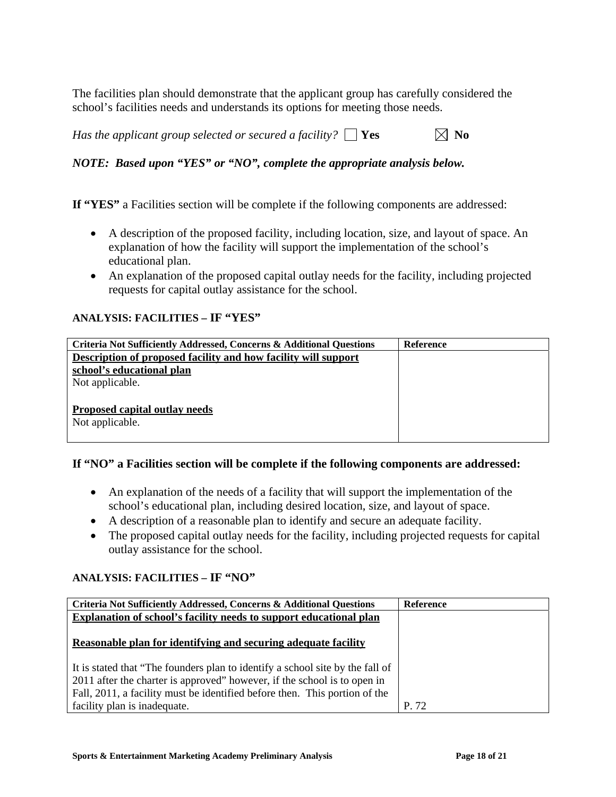The facilities plan should demonstrate that the applicant group has carefully considered the school's facilities needs and understands its options for meeting those needs.

*Has the applicant group selected or secured a facility?*  $\Box$  Yes  $\Box$  No

# *NOTE: Based upon "YES" or "NO", complete the appropriate analysis below.*

**If "YES"** a Facilities section will be complete if the following components are addressed:

- A description of the proposed facility, including location, size, and layout of space. An explanation of how the facility will support the implementation of the school's educational plan.
- An explanation of the proposed capital outlay needs for the facility, including projected requests for capital outlay assistance for the school.

#### **ANALYSIS: FACILITIES – IF "YES"**

| Criteria Not Sufficiently Addressed, Concerns & Additional Questions | Reference |
|----------------------------------------------------------------------|-----------|
| Description of proposed facility and how facility will support       |           |
| school's educational plan                                            |           |
| Not applicable.                                                      |           |
|                                                                      |           |
| Proposed capital outlay needs                                        |           |
| Not applicable.                                                      |           |
|                                                                      |           |

#### **If "NO" a Facilities section will be complete if the following components are addressed:**

- An explanation of the needs of a facility that will support the implementation of the school's educational plan, including desired location, size, and layout of space.
- A description of a reasonable plan to identify and secure an adequate facility.
- The proposed capital outlay needs for the facility, including projected requests for capital outlay assistance for the school.

## **ANALYSIS: FACILITIES – IF "NO"**

| Criteria Not Sufficiently Addressed, Concerns & Additional Questions          | <b>Reference</b> |
|-------------------------------------------------------------------------------|------------------|
| Explanation of school's facility needs to support educational plan            |                  |
|                                                                               |                  |
| Reasonable plan for identifying and securing adequate facility                |                  |
|                                                                               |                  |
| It is stated that "The founders plan to identify a school site by the fall of |                  |
| 2011 after the charter is approved" however, if the school is to open in      |                  |
| Fall, 2011, a facility must be identified before then. This portion of the    |                  |
| facility plan is inadequate.                                                  | P 72             |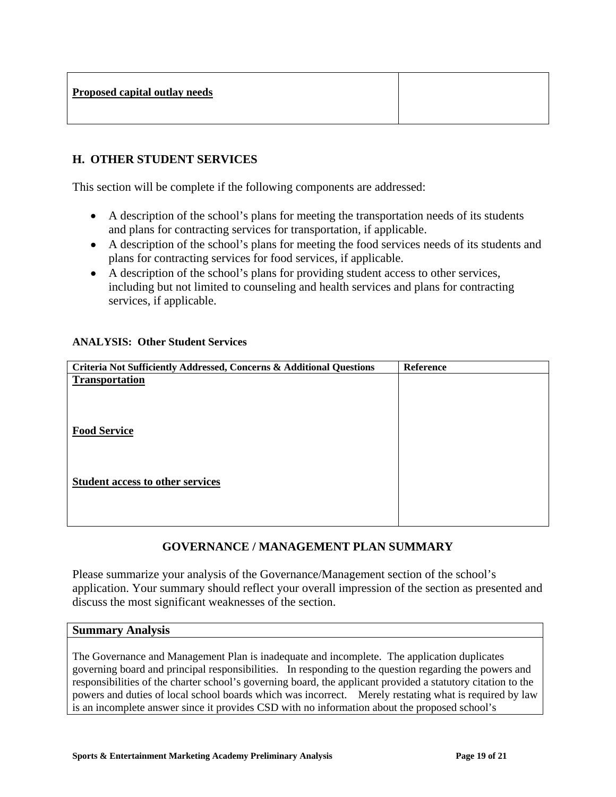| Proposed capital outlay needs |
|-------------------------------|
|-------------------------------|

#### **H. OTHER STUDENT SERVICES**

This section will be complete if the following components are addressed:

- A description of the school's plans for meeting the transportation needs of its students and plans for contracting services for transportation, if applicable.
- A description of the school's plans for meeting the food services needs of its students and plans for contracting services for food services, if applicable.
- A description of the school's plans for providing student access to other services, including but not limited to counseling and health services and plans for contracting services, if applicable.

#### **ANALYSIS: Other Student Services**

| Criteria Not Sufficiently Addressed, Concerns & Additional Questions | Reference |
|----------------------------------------------------------------------|-----------|
| <b>Transportation</b>                                                |           |
|                                                                      |           |
|                                                                      |           |
|                                                                      |           |
| <b>Food Service</b>                                                  |           |
|                                                                      |           |
|                                                                      |           |
| <b>Student access to other services</b>                              |           |
|                                                                      |           |
|                                                                      |           |
|                                                                      |           |

## **GOVERNANCE / MANAGEMENT PLAN SUMMARY**

Please summarize your analysis of the Governance/Management section of the school's application. Your summary should reflect your overall impression of the section as presented and discuss the most significant weaknesses of the section.

#### **Summary Analysis**

The Governance and Management Plan is inadequate and incomplete. The application duplicates governing board and principal responsibilities. In responding to the question regarding the powers and responsibilities of the charter school's governing board, the applicant provided a statutory citation to the powers and duties of local school boards which was incorrect. Merely restating what is required by law is an incomplete answer since it provides CSD with no information about the proposed school's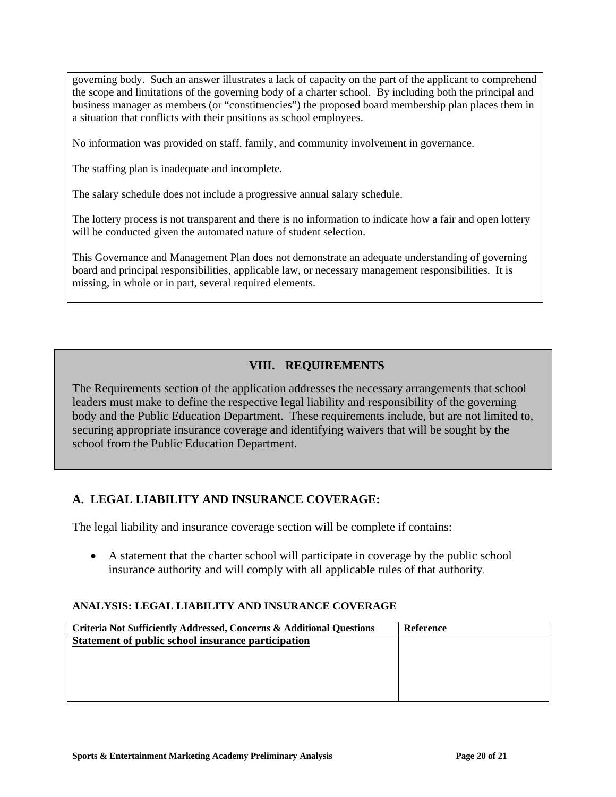governing body. Such an answer illustrates a lack of capacity on the part of the applicant to comprehend the scope and limitations of the governing body of a charter school. By including both the principal and business manager as members (or "constituencies") the proposed board membership plan places them in a situation that conflicts with their positions as school employees.

No information was provided on staff, family, and community involvement in governance.

The staffing plan is inadequate and incomplete.

The salary schedule does not include a progressive annual salary schedule.

The lottery process is not transparent and there is no information to indicate how a fair and open lottery will be conducted given the automated nature of student selection.

This Governance and Management Plan does not demonstrate an adequate understanding of governing board and principal responsibilities, applicable law, or necessary management responsibilities. It is missing, in whole or in part, several required elements.

# **VIII. REQUIREMENTS**

The Requirements section of the application addresses the necessary arrangements that school leaders must make to define the respective legal liability and responsibility of the governing body and the Public Education Department. These requirements include, but are not limited to, securing appropriate insurance coverage and identifying waivers that will be sought by the school from the Public Education Department.

## **A. LEGAL LIABILITY AND INSURANCE COVERAGE:**

The legal liability and insurance coverage section will be complete if contains:

• A statement that the charter school will participate in coverage by the public school insurance authority and will comply with all applicable rules of that authority.

#### **ANALYSIS: LEGAL LIABILITY AND INSURANCE COVERAGE**

| <b>Criteria Not Sufficiently Addressed, Concerns &amp; Additional Questions</b> | <b>Reference</b> |
|---------------------------------------------------------------------------------|------------------|
| Statement of public school insurance participation                              |                  |
|                                                                                 |                  |
|                                                                                 |                  |
|                                                                                 |                  |
|                                                                                 |                  |
|                                                                                 |                  |